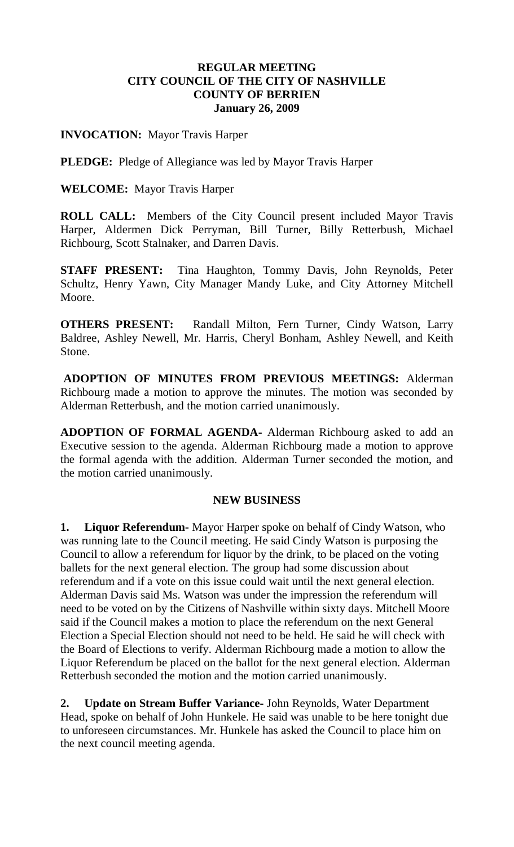# **REGULAR MEETING CITY COUNCIL OF THE CITY OF NASHVILLE COUNTY OF BERRIEN January 26, 2009**

# **INVOCATION:** Mayor Travis Harper

**PLEDGE:** Pledge of Allegiance was led by Mayor Travis Harper

## **WELCOME:** Mayor Travis Harper

**ROLL CALL:** Members of the City Council present included Mayor Travis Harper, Aldermen Dick Perryman, Bill Turner, Billy Retterbush, Michael Richbourg, Scott Stalnaker, and Darren Davis.

**STAFF PRESENT:** Tina Haughton, Tommy Davis, John Reynolds, Peter Schultz, Henry Yawn, City Manager Mandy Luke, and City Attorney Mitchell Moore.

**OTHERS PRESENT:** Randall Milton, Fern Turner, Cindy Watson, Larry Baldree, Ashley Newell, Mr. Harris, Cheryl Bonham, Ashley Newell, and Keith Stone.

**ADOPTION OF MINUTES FROM PREVIOUS MEETINGS:** Alderman Richbourg made a motion to approve the minutes. The motion was seconded by Alderman Retterbush, and the motion carried unanimously.

**ADOPTION OF FORMAL AGENDA-** Alderman Richbourg asked to add an Executive session to the agenda. Alderman Richbourg made a motion to approve the formal agenda with the addition. Alderman Turner seconded the motion, and the motion carried unanimously.

## **NEW BUSINESS**

**1. Liquor Referendum-** Mayor Harper spoke on behalf of Cindy Watson, who was running late to the Council meeting. He said Cindy Watson is purposing the Council to allow a referendum for liquor by the drink, to be placed on the voting ballets for the next general election. The group had some discussion about referendum and if a vote on this issue could wait until the next general election. Alderman Davis said Ms. Watson was under the impression the referendum will need to be voted on by the Citizens of Nashville within sixty days. Mitchell Moore said if the Council makes a motion to place the referendum on the next General Election a Special Election should not need to be held. He said he will check with the Board of Elections to verify. Alderman Richbourg made a motion to allow the Liquor Referendum be placed on the ballot for the next general election. Alderman Retterbush seconded the motion and the motion carried unanimously.

**2. Update on Stream Buffer Variance-** John Reynolds, Water Department Head, spoke on behalf of John Hunkele. He said was unable to be here tonight due to unforeseen circumstances. Mr. Hunkele has asked the Council to place him on the next council meeting agenda.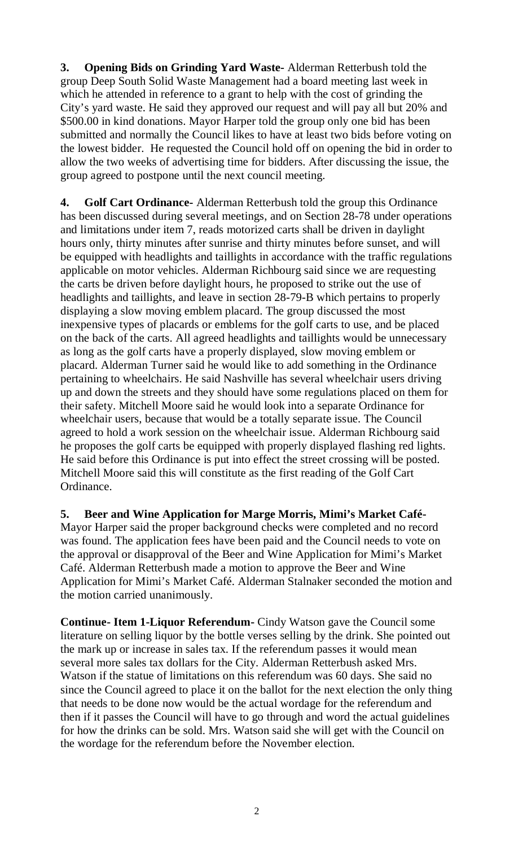**3. Opening Bids on Grinding Yard Waste-** Alderman Retterbush told the group Deep South Solid Waste Management had a board meeting last week in which he attended in reference to a grant to help with the cost of grinding the City's yard waste. He said they approved our request and will pay all but 20% and \$500.00 in kind donations. Mayor Harper told the group only one bid has been submitted and normally the Council likes to have at least two bids before voting on the lowest bidder. He requested the Council hold off on opening the bid in order to allow the two weeks of advertising time for bidders. After discussing the issue, the group agreed to postpone until the next council meeting.

**4. Golf Cart Ordinance-** Alderman Retterbush told the group this Ordinance has been discussed during several meetings, and on Section 28-78 under operations and limitations under item 7, reads motorized carts shall be driven in daylight hours only, thirty minutes after sunrise and thirty minutes before sunset, and will be equipped with headlights and taillights in accordance with the traffic regulations applicable on motor vehicles. Alderman Richbourg said since we are requesting the carts be driven before daylight hours, he proposed to strike out the use of headlights and taillights, and leave in section 28-79-B which pertains to properly displaying a slow moving emblem placard. The group discussed the most inexpensive types of placards or emblems for the golf carts to use, and be placed on the back of the carts. All agreed headlights and taillights would be unnecessary as long as the golf carts have a properly displayed, slow moving emblem or placard. Alderman Turner said he would like to add something in the Ordinance pertaining to wheelchairs. He said Nashville has several wheelchair users driving up and down the streets and they should have some regulations placed on them for their safety. Mitchell Moore said he would look into a separate Ordinance for wheelchair users, because that would be a totally separate issue. The Council agreed to hold a work session on the wheelchair issue. Alderman Richbourg said he proposes the golf carts be equipped with properly displayed flashing red lights. He said before this Ordinance is put into effect the street crossing will be posted. Mitchell Moore said this will constitute as the first reading of the Golf Cart Ordinance.

**5. Beer and Wine Application for Marge Morris, Mimi's Market Café-**

Mayor Harper said the proper background checks were completed and no record was found. The application fees have been paid and the Council needs to vote on the approval or disapproval of the Beer and Wine Application for Mimi's Market Café. Alderman Retterbush made a motion to approve the Beer and Wine Application for Mimi's Market Café. Alderman Stalnaker seconded the motion and the motion carried unanimously.

**Continue- Item 1-Liquor Referendum-** Cindy Watson gave the Council some literature on selling liquor by the bottle verses selling by the drink. She pointed out the mark up or increase in sales tax. If the referendum passes it would mean several more sales tax dollars for the City. Alderman Retterbush asked Mrs. Watson if the statue of limitations on this referendum was 60 days. She said no since the Council agreed to place it on the ballot for the next election the only thing that needs to be done now would be the actual wordage for the referendum and then if it passes the Council will have to go through and word the actual guidelines for how the drinks can be sold. Mrs. Watson said she will get with the Council on the wordage for the referendum before the November election.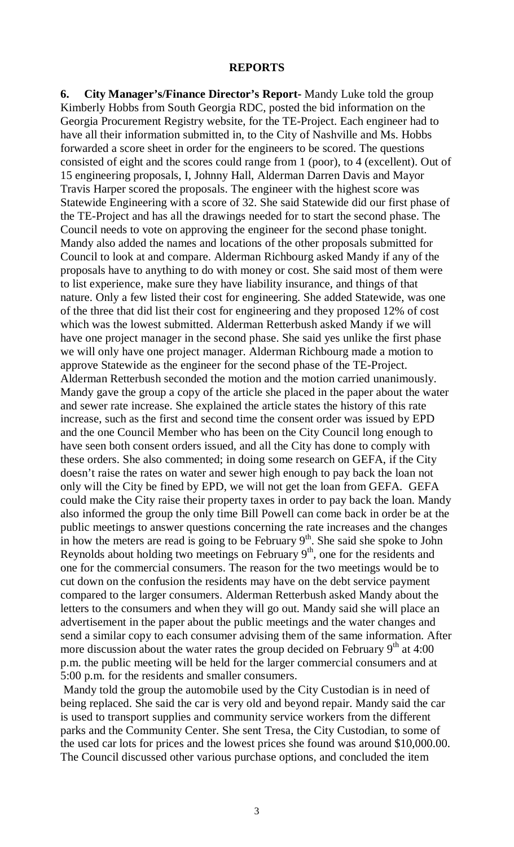#### **REPORTS**

**6. City Manager's/Finance Director's Report-** Mandy Luke told the group Kimberly Hobbs from South Georgia RDC, posted the bid information on the Georgia Procurement Registry website, for the TE-Project. Each engineer had to have all their information submitted in, to the City of Nashville and Ms. Hobbs forwarded a score sheet in order for the engineers to be scored. The questions consisted of eight and the scores could range from 1 (poor), to 4 (excellent). Out of 15 engineering proposals, I, Johnny Hall, Alderman Darren Davis and Mayor Travis Harper scored the proposals. The engineer with the highest score was Statewide Engineering with a score of 32. She said Statewide did our first phase of the TE-Project and has all the drawings needed for to start the second phase. The Council needs to vote on approving the engineer for the second phase tonight. Mandy also added the names and locations of the other proposals submitted for Council to look at and compare. Alderman Richbourg asked Mandy if any of the proposals have to anything to do with money or cost. She said most of them were to list experience, make sure they have liability insurance, and things of that nature. Only a few listed their cost for engineering. She added Statewide, was one of the three that did list their cost for engineering and they proposed 12% of cost which was the lowest submitted. Alderman Retterbush asked Mandy if we will have one project manager in the second phase. She said yes unlike the first phase we will only have one project manager. Alderman Richbourg made a motion to approve Statewide as the engineer for the second phase of the TE-Project. Alderman Retterbush seconded the motion and the motion carried unanimously. Mandy gave the group a copy of the article she placed in the paper about the water and sewer rate increase. She explained the article states the history of this rate increase, such as the first and second time the consent order was issued by EPD and the one Council Member who has been on the City Council long enough to have seen both consent orders issued, and all the City has done to comply with these orders. She also commented; in doing some research on GEFA, if the City doesn't raise the rates on water and sewer high enough to pay back the loan not only will the City be fined by EPD, we will not get the loan from GEFA. GEFA could make the City raise their property taxes in order to pay back the loan. Mandy also informed the group the only time Bill Powell can come back in order be at the public meetings to answer questions concerning the rate increases and the changes in how the meters are read is going to be February  $9<sup>th</sup>$ . She said she spoke to John Reynolds about holding two meetings on February  $9<sup>th</sup>$ , one for the residents and one for the commercial consumers. The reason for the two meetings would be to cut down on the confusion the residents may have on the debt service payment compared to the larger consumers. Alderman Retterbush asked Mandy about the letters to the consumers and when they will go out. Mandy said she will place an advertisement in the paper about the public meetings and the water changes and send a similar copy to each consumer advising them of the same information. After more discussion about the water rates the group decided on February  $9<sup>th</sup>$  at 4:00 p.m. the public meeting will be held for the larger commercial consumers and at 5:00 p.m. for the residents and smaller consumers.

Mandy told the group the automobile used by the City Custodian is in need of being replaced. She said the car is very old and beyond repair. Mandy said the car is used to transport supplies and community service workers from the different parks and the Community Center. She sent Tresa, the City Custodian, to some of the used car lots for prices and the lowest prices she found was around \$10,000.00. The Council discussed other various purchase options, and concluded the item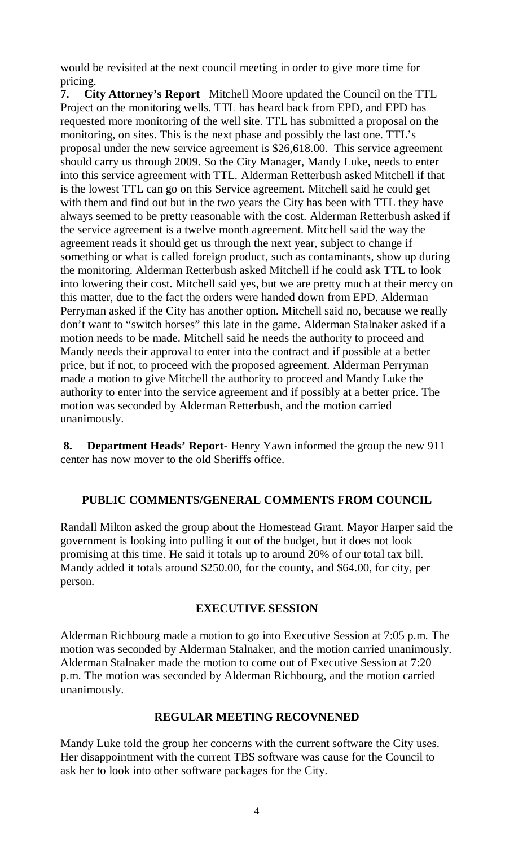would be revisited at the next council meeting in order to give more time for pricing.

**7. City Attorney's Report** Mitchell Moore updated the Council on the TTL Project on the monitoring wells. TTL has heard back from EPD, and EPD has requested more monitoring of the well site. TTL has submitted a proposal on the monitoring, on sites. This is the next phase and possibly the last one. TTL's proposal under the new service agreement is \$26,618.00.This service agreement should carry us through 2009. So the City Manager, Mandy Luke, needs to enter into this service agreement with TTL. Alderman Retterbush asked Mitchell if that is the lowest TTL can go on this Service agreement. Mitchell said he could get with them and find out but in the two years the City has been with TTL they have always seemed to be pretty reasonable with the cost. Alderman Retterbush asked if the service agreement is a twelve month agreement. Mitchell said the way the agreement reads it should get us through the next year, subject to change if something or what is called foreign product, such as contaminants, show up during the monitoring. Alderman Retterbush asked Mitchell if he could ask TTL to look into lowering their cost. Mitchell said yes, but we are pretty much at their mercy on this matter, due to the fact the orders were handed down from EPD. Alderman Perryman asked if the City has another option. Mitchell said no, because we really don't want to "switch horses" this late in the game. Alderman Stalnaker asked if a motion needs to be made. Mitchell said he needs the authority to proceed and Mandy needs their approval to enter into the contract and if possible at a better price, but if not, to proceed with the proposed agreement. Alderman Perryman made a motion to give Mitchell the authority to proceed and Mandy Luke the authority to enter into the service agreement and if possibly at a better price. The motion was seconded by Alderman Retterbush, and the motion carried unanimously.

**8. Department Heads' Report-** Henry Yawn informed the group the new 911 center has now mover to the old Sheriffs office.

## **PUBLIC COMMENTS/GENERAL COMMENTS FROM COUNCIL**

Randall Milton asked the group about the Homestead Grant. Mayor Harper said the government is looking into pulling it out of the budget, but it does not look promising at this time. He said it totals up to around 20% of our total tax bill. Mandy added it totals around \$250.00, for the county, and \$64.00, for city, per person.

# **EXECUTIVE SESSION**

Alderman Richbourg made a motion to go into Executive Session at 7:05 p.m. The motion was seconded by Alderman Stalnaker, and the motion carried unanimously. Alderman Stalnaker made the motion to come out of Executive Session at 7:20 p.m. The motion was seconded by Alderman Richbourg, and the motion carried unanimously.

## **REGULAR MEETING RECOVNENED**

Mandy Luke told the group her concerns with the current software the City uses. Her disappointment with the current TBS software was cause for the Council to ask her to look into other software packages for the City.